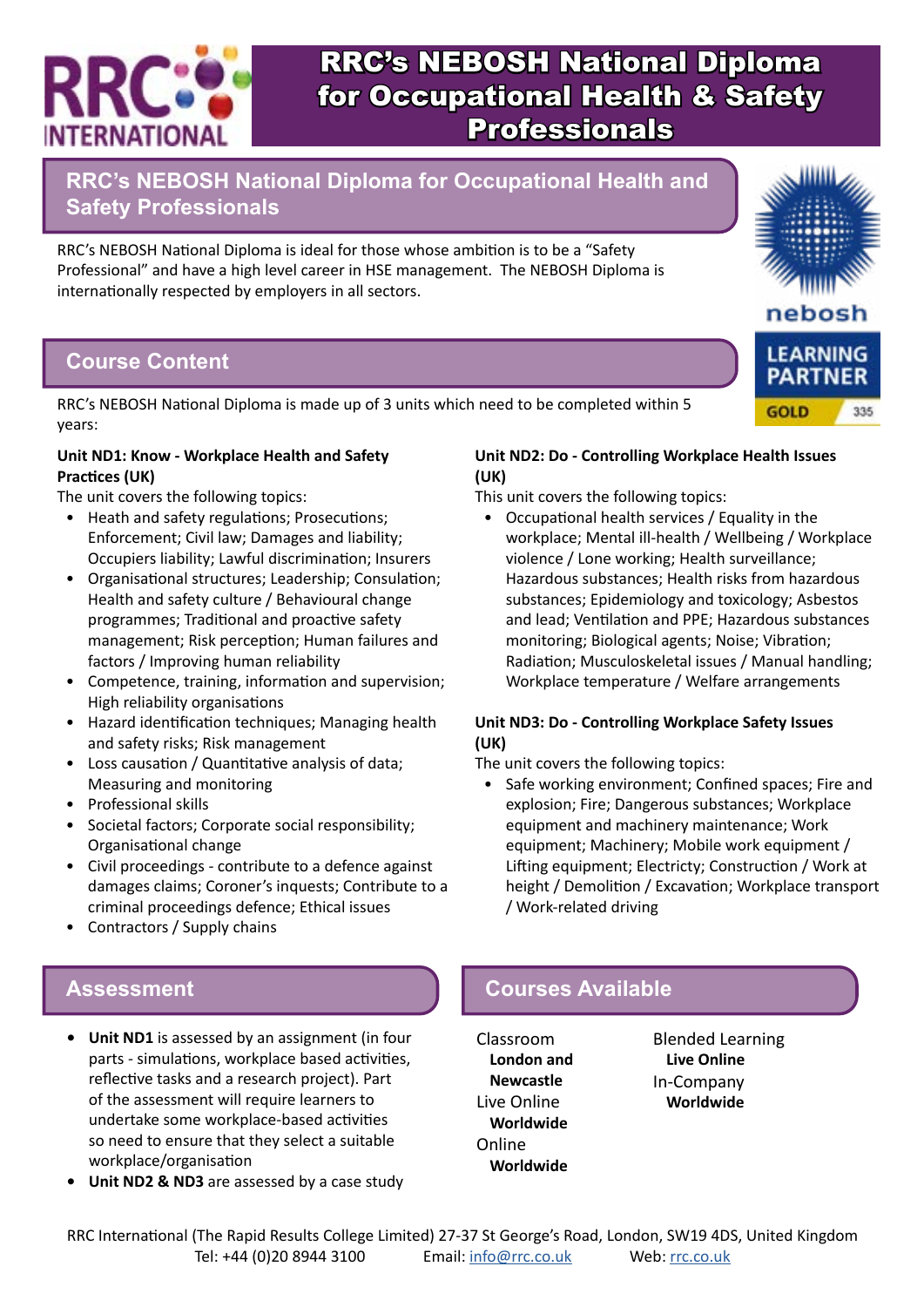

**RRC's NEBOSH National Diploma for Occupational Health and Safety Professionals**

RRC's NEBOSH National Diploma is ideal for those whose ambition is to be a "Safety Professional" and have a high level career in HSE management. The NEBOSH Diploma is internationally respected by employers in all sectors.

## **Course Content**

RRC's NEBOSH National Diploma is made up of 3 units which need to be completed within 5 years:

#### **Unit ND1: Know - Workplace Health and Safety Practices (UK)**

The unit covers the following topics:

- Heath and safety regulations; Prosecutions; Enforcement; Civil law; Damages and liability; Occupiers liability; Lawful discrimination; Insurers
- Organisational structures; Leadership; Consulation; Health and safety culture / Behavioural change programmes; Traditional and proactive safety management; Risk perception; Human failures and factors / Improving human reliability
- Competence, training, information and supervision; High reliability organisations
- Hazard identification techniques; Managing health and safety risks; Risk management
- Loss causation / Quantitative analysis of data; Measuring and monitoring
- Professional skills
- Societal factors; Corporate social responsibility; Organisational change
- Civil proceedings contribute to a defence against damages claims; Coroner's inquests; Contribute to a criminal proceedings defence; Ethical issues
- Contractors / Supply chains

#### **Unit ND2: Do - Controlling Workplace Health Issues (UK)** This unit covers the following topics:

• Occupational health services / Equality in the workplace; Mental ill-health / Wellbeing / Workplace violence / Lone working; Health surveillance; Hazardous substances; Health risks from hazardous substances; Epidemiology and toxicology; Asbestos and lead; Ventilation and PPE; Hazardous substances monitoring; Biological agents; Noise; Vibration; Radiation; Musculoskeletal issues / Manual handling; Workplace temperature / Welfare arrangements

#### **Unit ND3: Do - Controlling Workplace Safety Issues (UK)**

The unit covers the following topics:

• Safe working environment; Confined spaces; Fire and explosion; Fire; Dangerous substances; Workplace equipment and machinery maintenance; Work equipment; Machinery; Mobile work equipment / Lifting equipment; Electricty; Construction / Work at height / Demolition / Excavation; Workplace transport / Work-related driving

- **• Unit ND1** is assessed by an assignment (in four parts - simulations, workplace based activities, reflective tasks and a research project). Part of the assessment will require learners to undertake some workplace-based activities so need to ensure that they select a suitable workplace/organisation
- **• Unit ND2 & ND3** are assessed by a case study

## **Assessment Courses Available**

Classroom **London and Newcastle** Live Online **Worldwide** Online **Worldwide**

Blended Learning **Live Online** In-Company **Worldwide**





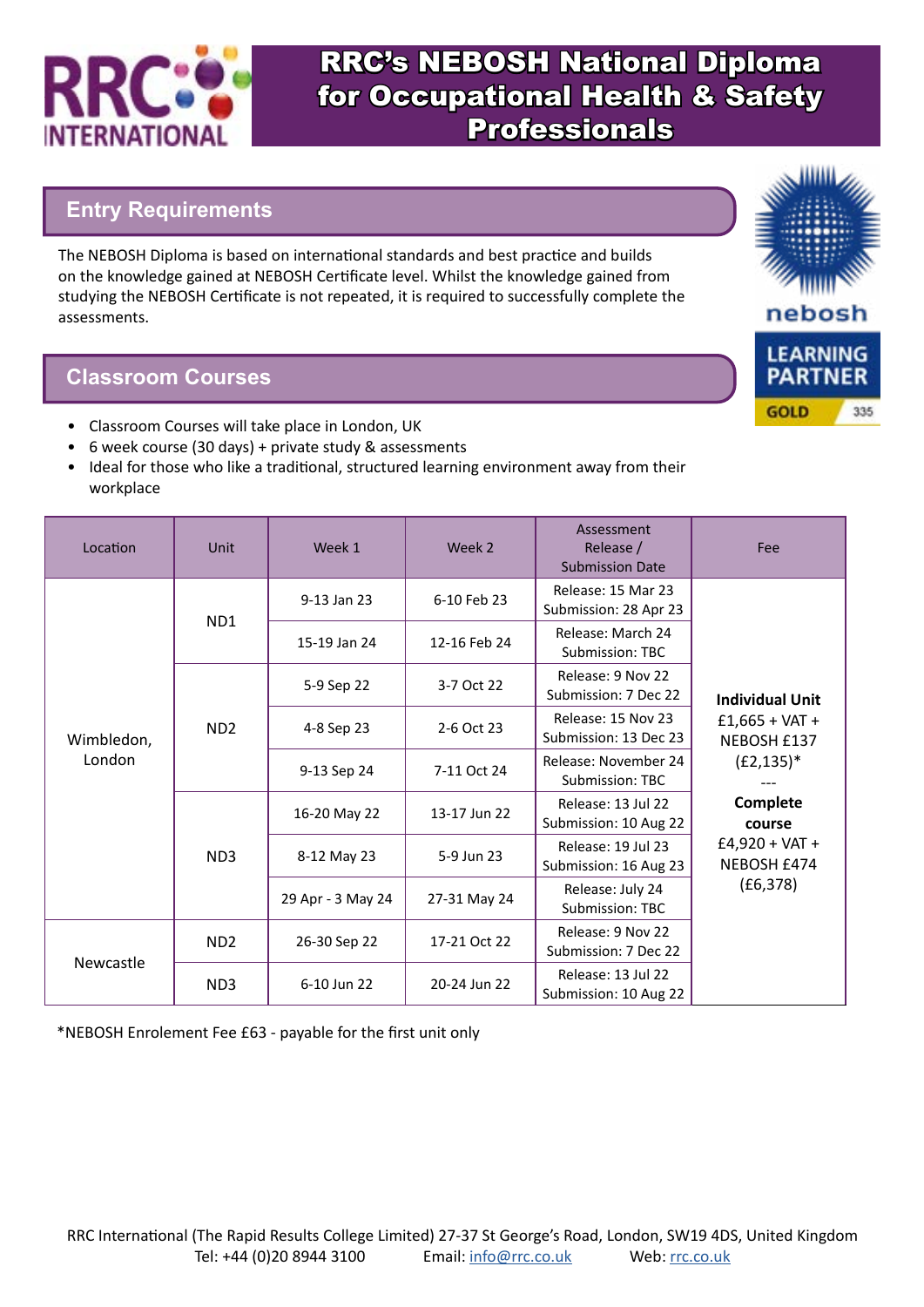

## **Entry Requirements**

The NEBOSH Diploma is based on international standards and best practice and builds on the knowledge gained at NEBOSH Certificate level. Whilst the knowledge gained from studying the NEBOSH Certificate is not repeated, it is required to successfully complete the assessments.

### **Classroom Courses**

- Classroom Courses will take place in London, UK
- 6 week course (30 days) + private study & assessments
- Ideal for those who like a traditional, structured learning environment away from their workplace

| Location             | <b>Unit</b>     | Week 1            | Week 2       | Assessment<br>Release /<br><b>Submission Date</b> | Fee                                                       |  |
|----------------------|-----------------|-------------------|--------------|---------------------------------------------------|-----------------------------------------------------------|--|
| Wimbledon,<br>London | ND <sub>1</sub> | 9-13 Jan 23       | 6-10 Feb 23  | Release: 15 Mar 23<br>Submission: 28 Apr 23       |                                                           |  |
|                      |                 | 15-19 Jan 24      | 12-16 Feb 24 | Release: March 24<br>Submission: TBC              |                                                           |  |
|                      | ND <sub>2</sub> | 5-9 Sep 22        | 3-7 Oct 22   | Release: 9 Nov 22<br>Submission: 7 Dec 22         | <b>Individual Unit</b><br>$£1,665 + VAT +$<br>NEBOSH £137 |  |
|                      |                 | 4-8 Sep 23        | 2-6 Oct 23   | Release: 15 Nov 23<br>Submission: 13 Dec 23       |                                                           |  |
|                      |                 | 9-13 Sep 24       | 7-11 Oct 24  | Release: November 24<br><b>Submission: TBC</b>    | $(E2, 135)^*$                                             |  |
|                      | ND <sub>3</sub> | 16-20 May 22      | 13-17 Jun 22 | Release: 13 Jul 22<br>Submission: 10 Aug 22       | Complete<br>course                                        |  |
|                      |                 | 8-12 May 23       | 5-9 Jun 23   | Release: 19 Jul 23<br>Submission: 16 Aug 23       | $£4,920 + VAT +$<br>NEBOSH £474                           |  |
|                      |                 | 29 Apr - 3 May 24 | 27-31 May 24 | Release: July 24<br><b>Submission: TBC</b>        | (E6, 378)                                                 |  |
| Newcastle            | ND <sub>2</sub> | 26-30 Sep 22      | 17-21 Oct 22 | Release: 9 Nov 22<br>Submission: 7 Dec 22         |                                                           |  |
|                      | ND <sub>3</sub> | 6-10 Jun 22       | 20-24 Jun 22 | Release: 13 Jul 22<br>Submission: 10 Aug 22       |                                                           |  |

\*NEBOSH Enrolement Fee £63 - payable for the first unit only



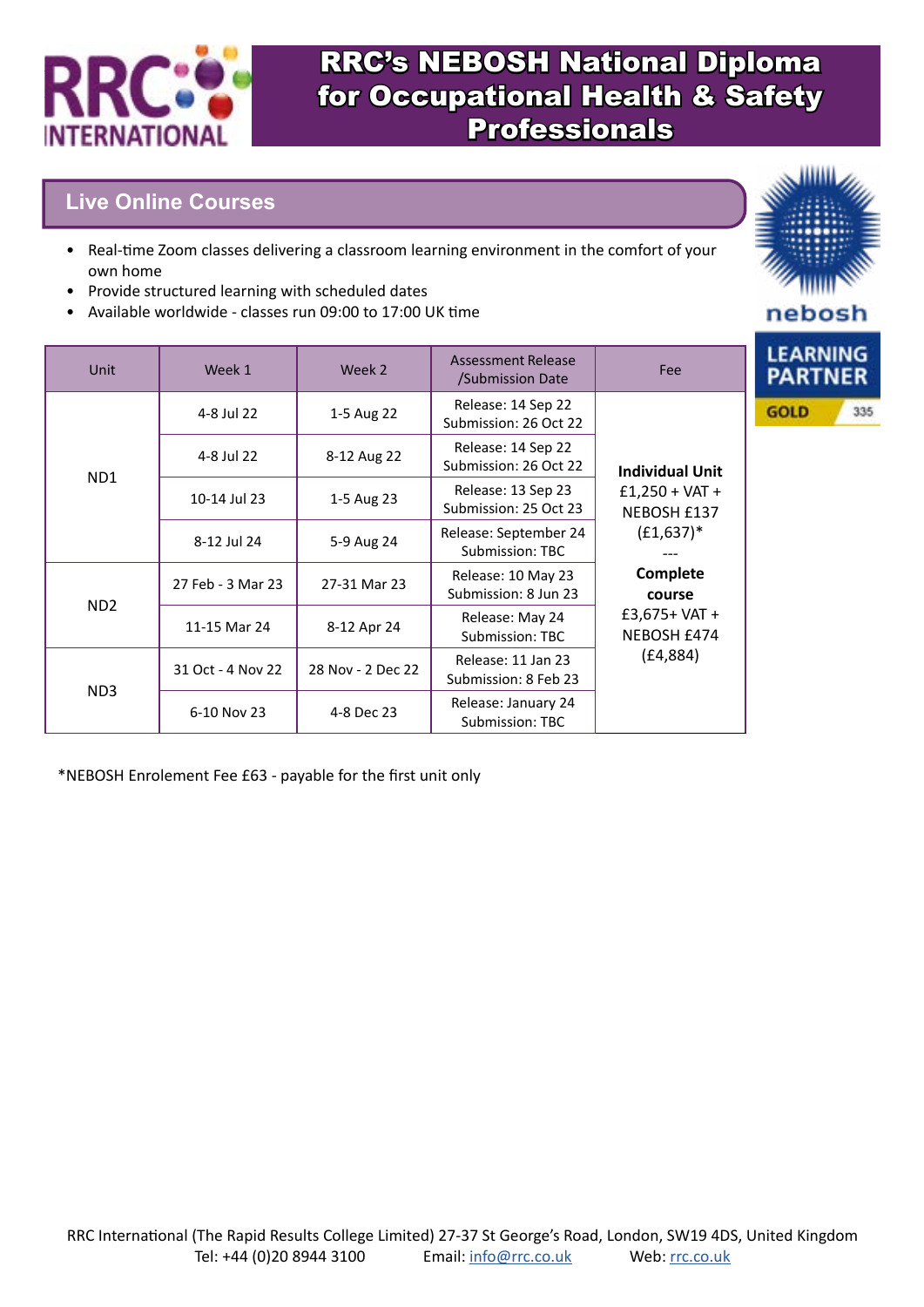

## **Live Online Courses**

- Real-time Zoom classes delivering a classroom learning environment in the comfort of your own home
- Provide structured learning with scheduled dates
- Available worldwide classes run 09:00 to 17:00 UK time

| Unit            | Week 1            | Week 2            | <b>Assessment Release</b><br>/Submission Date | Fee                             | <b>LEARNING</b><br><b>PARTNER</b> |
|-----------------|-------------------|-------------------|-----------------------------------------------|---------------------------------|-----------------------------------|
| ND1             | 4-8 Jul 22        | 1-5 Aug 22        | Release: 14 Sep 22<br>Submission: 26 Oct 22   |                                 | 335<br><b>GOLD</b>                |
|                 | 4-8 Jul 22        | 8-12 Aug 22       | Release: 14 Sep 22<br>Submission: 26 Oct 22   | <b>Individual Unit</b>          |                                   |
|                 | 10-14 Jul 23      | 1-5 Aug 23        | Release: 13 Sep 23<br>Submission: 25 Oct 23   | $£1,250 + VAT +$<br>NEBOSH £137 |                                   |
|                 | 8-12 Jul 24       | 5-9 Aug 24        | Release: September 24<br>Submission: TBC      | $(E1,637)^*$                    |                                   |
| ND <sub>2</sub> | 27 Feb - 3 Mar 23 | 27-31 Mar 23      | Release: 10 May 23<br>Submission: 8 Jun 23    | <b>Complete</b><br>course       |                                   |
|                 | 11-15 Mar 24      | 8-12 Apr 24       | Release: May 24<br>Submission: TBC            | $£3,675+VAT +$<br>NEBOSH £474   |                                   |
| ND3             | 31 Oct - 4 Nov 22 | 28 Nov - 2 Dec 22 | Release: 11 Jan 23<br>Submission: 8 Feb 23    | (E4, 884)                       |                                   |
|                 | 6-10 Nov 23       | 4-8 Dec 23        | Release: January 24<br>Submission: TBC        |                                 |                                   |

\*NEBOSH Enrolement Fee £63 - payable for the first unit only

nebosh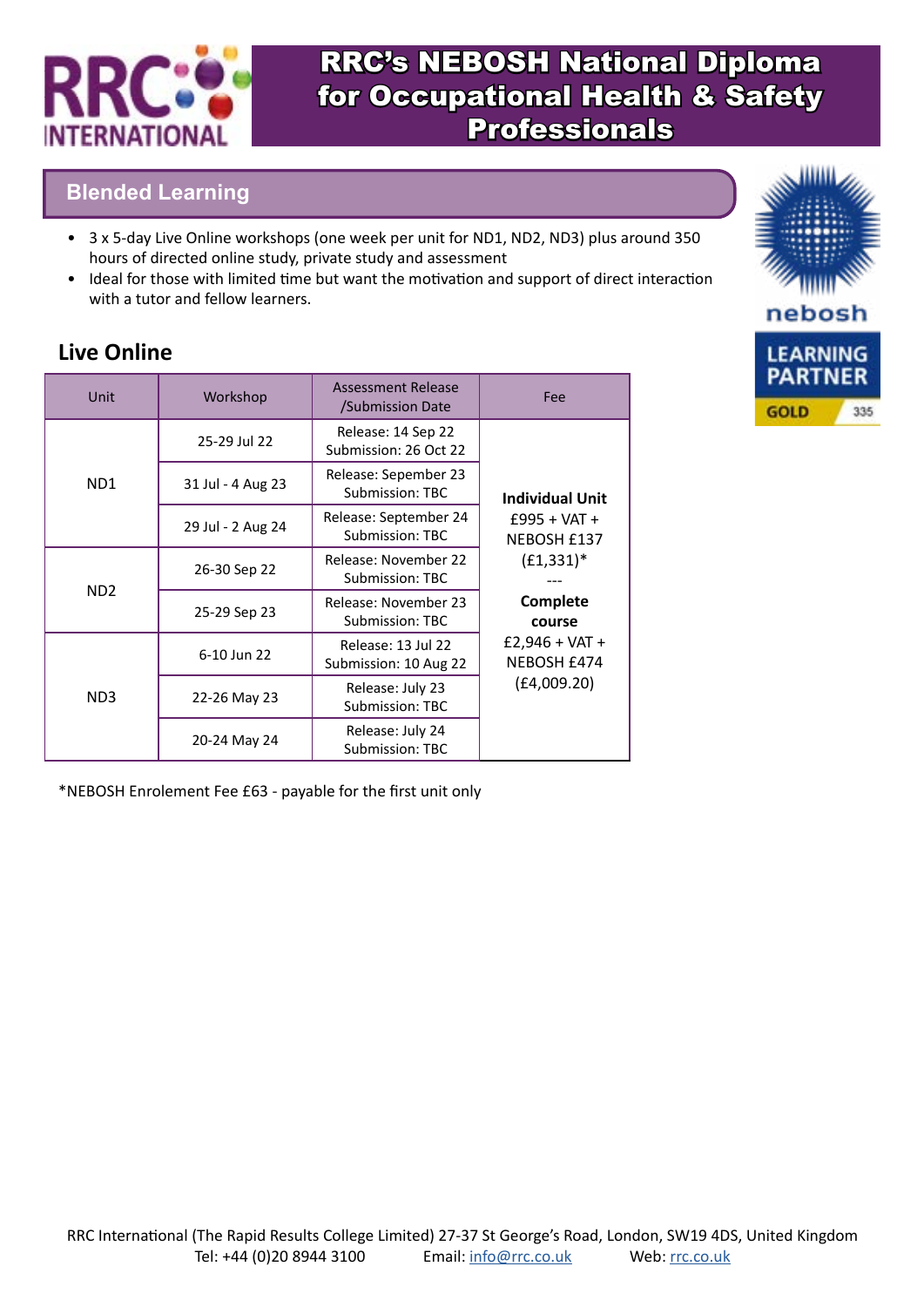

## **Blended Learning**

- 3 x 5-day Live Online workshops (one week per unit for ND1, ND2, ND3) plus around 350 hours of directed online study, private study and assessment
- Ideal for those with limited time but want the motivation and support of direct interaction with a tutor and fellow learners.

## **Live Online**

| Unit                        | Workshop          | <b>Assessment Release</b><br>/Submission Date | Fee                                |  |
|-----------------------------|-------------------|-----------------------------------------------|------------------------------------|--|
|                             | 25-29 Jul 22      | Release: 14 Sep 22<br>Submission: 26 Oct 22   | <b>Individual Unit</b>             |  |
| ND <sub>1</sub>             | 31 Jul - 4 Aug 23 | Release: Sepember 23<br>Submission: TBC       |                                    |  |
|                             | 29 Jul - 2 Aug 24 | Release: September 24<br>Submission: TBC      | $£995 + VAT +$<br>NEBOSH £137      |  |
| N <sub>D</sub> <sub>2</sub> | 26-30 Sep 22      | Release: November 22<br>Submission: TBC       | $(E1,331)^*$<br>Complete<br>course |  |
|                             | 25-29 Sep 23      | Release: November 23<br>Submission: TBC       |                                    |  |
| ND <sub>3</sub>             | 6-10 Jun 22       | Release: 13 Jul 22<br>Submission: 10 Aug 22   | $£2,946 + VAT +$<br>NEBOSH £474    |  |
|                             | 22-26 May 23      | Release: July 23<br>Submission: TBC           | (E4,009.20)                        |  |
|                             | 20-24 May 24      | Release: July 24<br><b>Submission: TBC</b>    |                                    |  |

\*NEBOSH Enrolement Fee £63 - payable for the first unit only

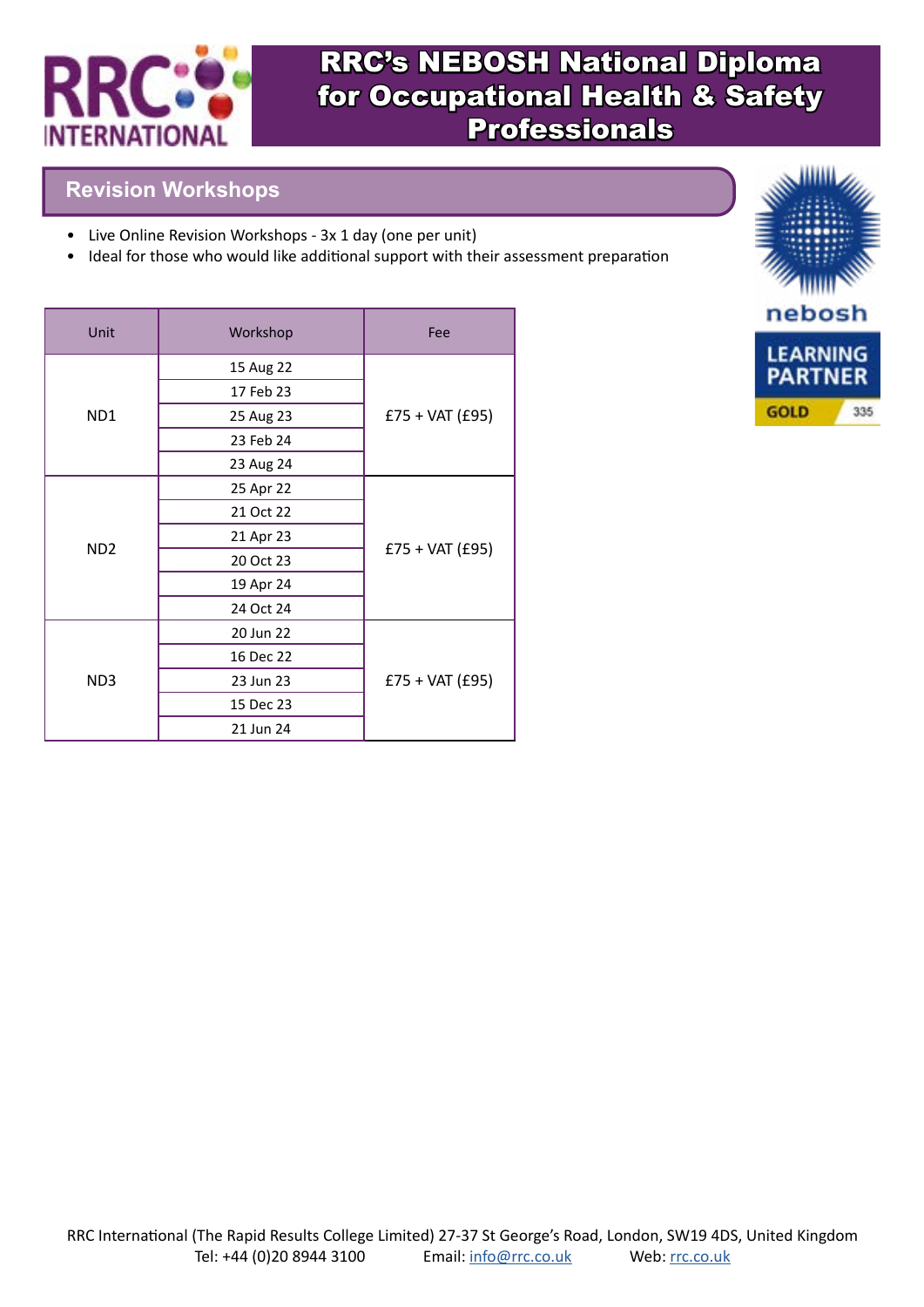

## **Revision Workshops**

- Live Online Revision Workshops 3x 1 day (one per unit)
- Ideal for those who would like additional support with their assessment preparation

| Unit             | Workshop  | Fee               |  |
|------------------|-----------|-------------------|--|
|                  | 15 Aug 22 |                   |  |
|                  | 17 Feb 23 |                   |  |
| N <sub>D</sub> 1 | 25 Aug 23 | $£75 + VAT (£95)$ |  |
|                  | 23 Feb 24 |                   |  |
|                  | 23 Aug 24 |                   |  |
|                  | 25 Apr 22 |                   |  |
|                  | 21 Oct 22 |                   |  |
| N <sub>D</sub> 2 | 21 Apr 23 | $£75 + VAT (£95)$ |  |
|                  | 20 Oct 23 |                   |  |
|                  | 19 Apr 24 |                   |  |
|                  | 24 Oct 24 |                   |  |
| ND <sub>3</sub>  | 20 Jun 22 |                   |  |
|                  | 16 Dec 22 |                   |  |
|                  | 23 Jun 23 | $£75 + VAT (£95)$ |  |
|                  | 15 Dec 23 |                   |  |
|                  | 21 Jun 24 |                   |  |

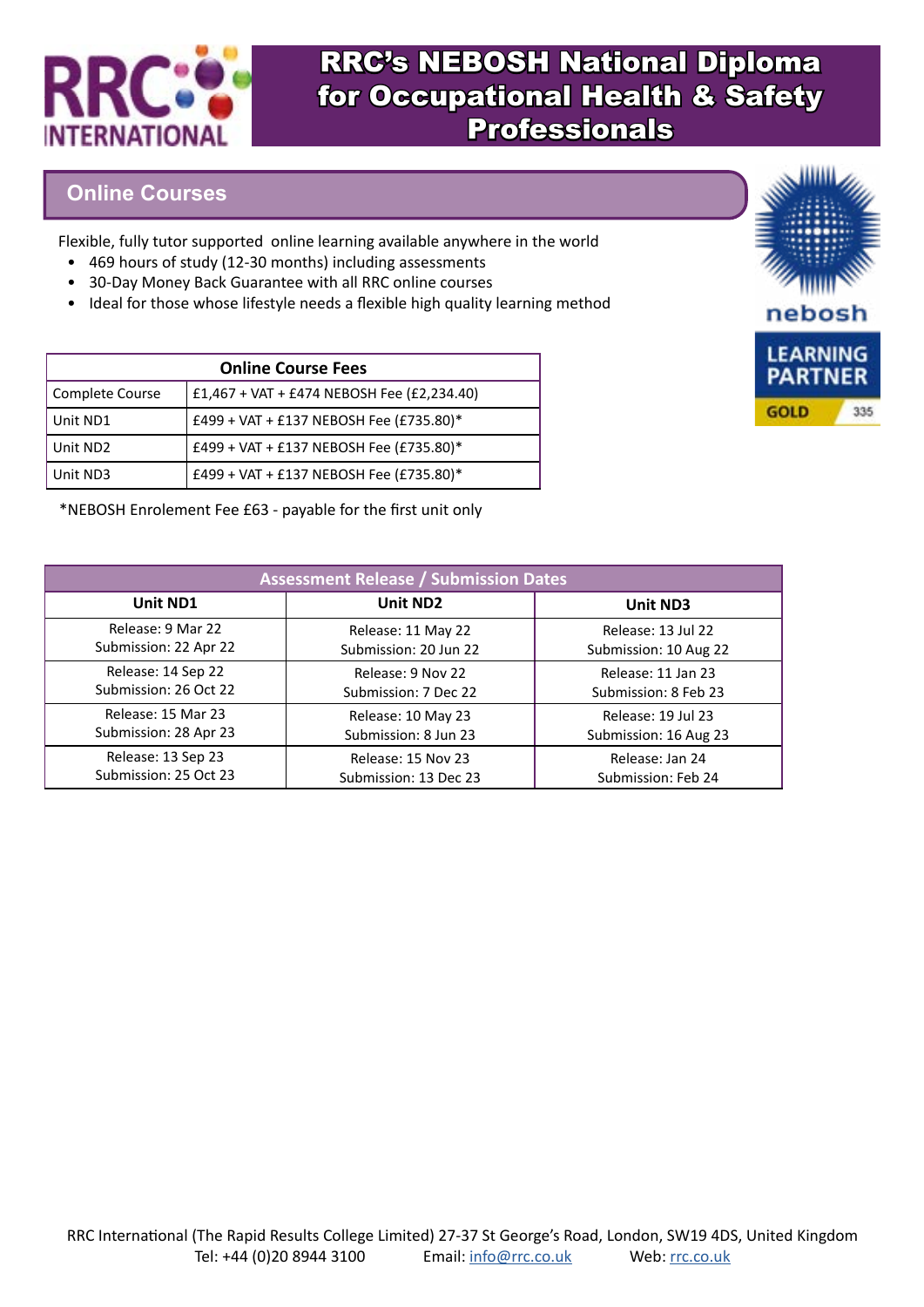

#### **Online Courses**

Flexible, fully tutor supported online learning available anywhere in the world

- 469 hours of study (12-30 months) including assessments
- 30-Day Money Back Guarantee with all RRC online courses
- Ideal for those whose lifestyle needs a flexible high quality learning method

| <b>Online Course Fees</b> |                                            |  |  |
|---------------------------|--------------------------------------------|--|--|
| Complete Course           | £1,467 + VAT + £474 NEBOSH Fee (£2,234.40) |  |  |
| Unit ND1                  | £499 + VAT + £137 NEBOSH Fee (£735.80)*    |  |  |
| Unit ND <sub>2</sub>      | £499 + VAT + £137 NEBOSH Fee (£735.80)*    |  |  |
| Unit ND3                  | £499 + VAT + £137 NEBOSH Fee (£735.80)*    |  |  |

\*NEBOSH Enrolement Fee £63 - payable for the first unit only

| <b>Assessment Release / Submission Dates</b> |                       |                       |  |
|----------------------------------------------|-----------------------|-----------------------|--|
| Unit ND1                                     | Unit ND <sub>2</sub>  | Unit ND3              |  |
| Release: 9 Mar 22                            | Release: 11 May 22    | Release: 13 Jul 22    |  |
| Submission: 22 Apr 22                        | Submission: 20 Jun 22 | Submission: 10 Aug 22 |  |
| Release: 14 Sep 22                           | Release: 9 Nov 22     | Release: 11 Jan 23    |  |
| Submission: 26 Oct 22                        | Submission: 7 Dec 22  | Submission: 8 Feb 23  |  |
| Release: 15 Mar 23                           | Release: 10 May 23    | Release: 19 Jul 23    |  |
| Submission: 28 Apr 23                        | Submission: 8 Jun 23  | Submission: 16 Aug 23 |  |
| Release: 13 Sep 23                           | Release: 15 Nov 23    | Release: Jan 24       |  |
| Submission: 25 Oct 23                        | Submission: 13 Dec 23 | Submission: Feb 24    |  |